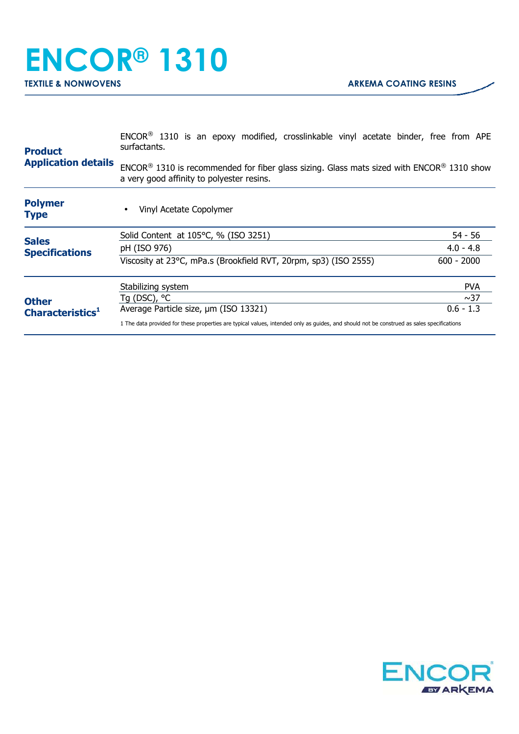## **ENCOR® 1310 TEXTILE & NONWOVENS ARKEMA COATING RESINS**

| <b>Product</b><br><b>Application details</b>                          | ENCOR <sup>®</sup> 1310 is an epoxy modified, crosslinkable vinyl acetate binder, free from APE<br>surfactants.                            |              |
|-----------------------------------------------------------------------|--------------------------------------------------------------------------------------------------------------------------------------------|--------------|
|                                                                       | $ENCOR®$ 1310 is recommended for fiber glass sizing. Glass mats sized with $ENCOR®$ 1310 show<br>a very good affinity to polyester resins. |              |
| <b>Polymer</b><br><b>Type</b>                                         | Vinyl Acetate Copolymer                                                                                                                    |              |
| <b>Sales</b>                                                          | Solid Content at $105^{\circ}$ C, % (ISO 3251)                                                                                             | 54 - 56      |
| <b>Specifications</b><br><b>Other</b><br>Characteristics <sup>1</sup> | pH (ISO 976)                                                                                                                               | $4.0 - 4.8$  |
|                                                                       | Viscosity at 23°C, mPa.s (Brookfield RVT, 20rpm, sp3) (ISO 2555)                                                                           | $600 - 2000$ |
|                                                                       | Stabilizing system                                                                                                                         | <b>PVA</b>   |
|                                                                       | Tg (DSC), °C                                                                                                                               | ~1sim 37     |
|                                                                       | Average Particle size, um (ISO 13321)                                                                                                      | $0.6 - 1.3$  |
|                                                                       | 1 The data provided for these properties are typical values, intended only as guides, and should not be construed as sales specifications  |              |